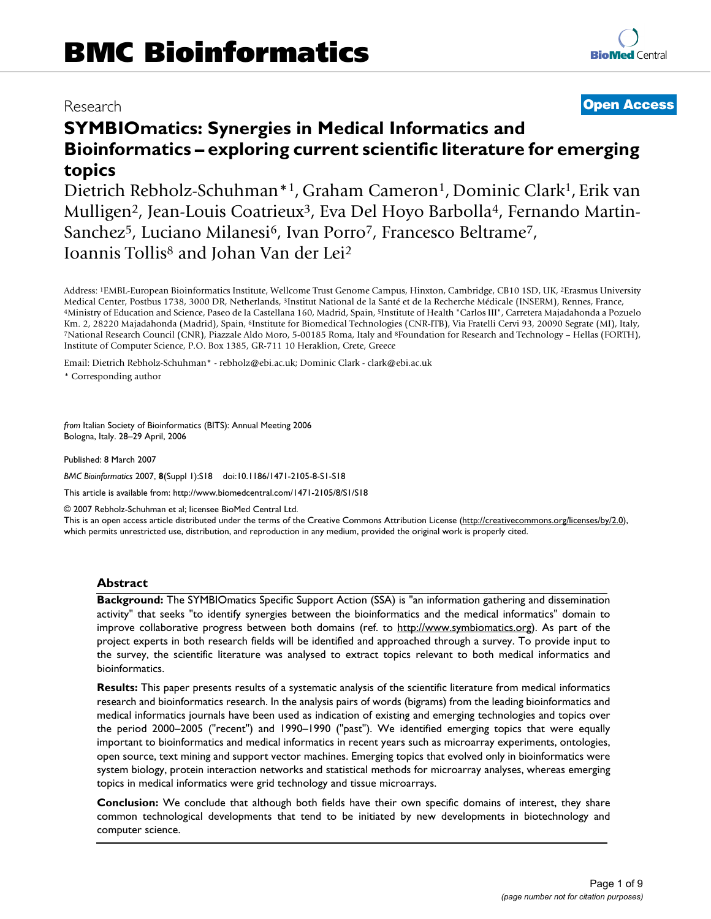# Research **[Open Access](http://www.biomedcentral.com/info/about/charter/)**

# **SYMBIOmatics: Synergies in Medical Informatics and Bioinformatics – exploring current scientific literature for emerging topics**

Dietrich Rebholz-Schuhman\*1, Graham Cameron<sup>1</sup>, Dominic Clark<sup>1</sup>, Erik van Mulligen<sup>2</sup>, Jean-Louis Coatrieux<sup>3</sup>, Eva Del Hoyo Barbolla<sup>4</sup>, Fernando Martin-Sanchez<sup>5</sup>, Luciano Milanesi<sup>6</sup>, Ivan Porro<sup>7</sup>, Francesco Beltrame<sup>7</sup>, Ioannis Tollis8 and Johan Van der Lei2

Address: <sup>1</sup>EMBL-European Bioinformatics Institute, Wellcome Trust Genome Campus, Hinxton, Cambridge, CB10 1SD, UK, <sup>2</sup>Erasmus University Medical Center, Postbus 1738, 3000 DR, Netherlands, <sup>3</sup>Institut National de la Santé <sup>4</sup>Ministry of Education and Science, Paseo de la Castellana 160, Madrid, Spain, <sup>5</sup>Institute of Health "Carlos III", Carretera Majadahonda a Pozuelo<br>Km. 2, 28220 Majadahonda (Madrid), Spain, <sup>6</sup>Institute for Biomedical Te 7National Research Council (CNR), Piazzale Aldo Moro, 5-00185 Roma, Italy and <sup>8</sup>Foundation for Research and Technology - Hellas (FORTH), Institute of Computer Science, P.O. Box 1385, GR-711 10 Heraklion, Crete, Greece

Email: Dietrich Rebholz-Schuhman\* - rebholz@ebi.ac.uk; Dominic Clark - clark@ebi.ac.uk

\* Corresponding author

from Italian Society of Bioinformatics (BITS): Annual Meeting 2006 Bologna, Italy. 28–29 April, 2006

Published: 8 March 2007

*BMC Bioinformatics* 2007, **8**(Suppl 1):S18 doi:10.1186/1471-2105-8-S1-S18

[This article is available from: http://www.biomedcentral.com/1471-2105/8/S1/S18](http://www.biomedcentral.com/1471-2105/8/S1/S18)

© 2007 Rebholz-Schuhman et al; licensee BioMed Central Ltd.

This is an open access article distributed under the terms of the Creative Commons Attribution License [\(http://creativecommons.org/licenses/by/2.0\)](http://creativecommons.org/licenses/by/2.0), which permits unrestricted use, distribution, and reproduction in any medium, provided the original work is properly cited.

#### **Abstract**

**Background:** The SYMBIOmatics Specific Support Action (SSA) is "an information gathering and dissemination activity" that seeks "to identify synergies between the bioinformatics and the medical informatics" domain to improve collaborative progress between both domains (ref. to [http://www.symbiomatics.org\)](http://www.symbiomatics.org). As part of the project experts in both research fields will be identified and approached through a survey. To provide input to the survey, the scientific literature was analysed to extract topics relevant to both medical informatics and bioinformatics.

**Results:** This paper presents results of a systematic analysis of the scientific literature from medical informatics research and bioinformatics research. In the analysis pairs of words (bigrams) from the leading bioinformatics and medical informatics journals have been used as indication of existing and emerging technologies and topics over the period 2000–2005 ("recent") and 1990–1990 ("past"). We identified emerging topics that were equally important to bioinformatics and medical informatics in recent years such as microarray experiments, ontologies, open source, text mining and support vector machines. Emerging topics that evolved only in bioinformatics were system biology, protein interaction networks and statistical methods for microarray analyses, whereas emerging topics in medical informatics were grid technology and tissue microarrays.

**Conclusion:** We conclude that although both fields have their own specific domains of interest, they share common technological developments that tend to be initiated by new developments in biotechnology and computer science.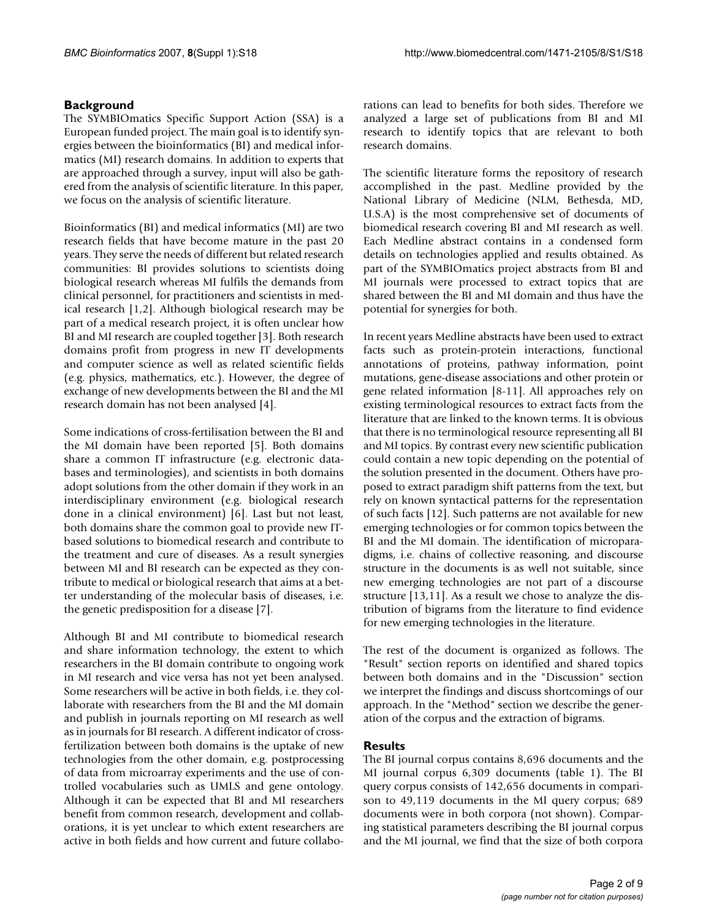# **Background**

The SYMBIOmatics Specific Support Action (SSA) is a European funded project. The main goal is to identify synergies between the bioinformatics (BI) and medical informatics (MI) research domains. In addition to experts that are approached through a survey, input will also be gathered from the analysis of scientific literature. In this paper, we focus on the analysis of scientific literature.

Bioinformatics (BI) and medical informatics (MI) are two research fields that have become mature in the past 20 years. They serve the needs of different but related research communities: BI provides solutions to scientists doing biological research whereas MI fulfils the demands from clinical personnel, for practitioners and scientists in medical research [1,2]. Although biological research may be part of a medical research project, it is often unclear how BI and MI research are coupled together [3]. Both research domains profit from progress in new IT developments and computer science as well as related scientific fields (e.g. physics, mathematics, etc.). However, the degree of exchange of new developments between the BI and the MI research domain has not been analysed [4].

Some indications of cross-fertilisation between the BI and the MI domain have been reported [5]. Both domains share a common IT infrastructure (e.g. electronic databases and terminologies), and scientists in both domains adopt solutions from the other domain if they work in an interdisciplinary environment (e.g. biological research done in a clinical environment) [6]. Last but not least, both domains share the common goal to provide new ITbased solutions to biomedical research and contribute to the treatment and cure of diseases. As a result synergies between MI and BI research can be expected as they contribute to medical or biological research that aims at a better understanding of the molecular basis of diseases, i.e. the genetic predisposition for a disease [7].

Although BI and MI contribute to biomedical research and share information technology, the extent to which researchers in the BI domain contribute to ongoing work in MI research and vice versa has not yet been analysed. Some researchers will be active in both fields, i.e. they collaborate with researchers from the BI and the MI domain and publish in journals reporting on MI research as well as in journals for BI research. A different indicator of crossfertilization between both domains is the uptake of new technologies from the other domain, e.g. postprocessing of data from microarray experiments and the use of controlled vocabularies such as UMLS and gene ontology. Although it can be expected that BI and MI researchers benefit from common research, development and collaborations, it is yet unclear to which extent researchers are active in both fields and how current and future collaborations can lead to benefits for both sides. Therefore we analyzed a large set of publications from BI and MI research to identify topics that are relevant to both research domains.

The scientific literature forms the repository of research accomplished in the past. Medline provided by the National Library of Medicine (NLM, Bethesda, MD, U.S.A) is the most comprehensive set of documents of biomedical research covering BI and MI research as well. Each Medline abstract contains in a condensed form details on technologies applied and results obtained. As part of the SYMBIOmatics project abstracts from BI and MI journals were processed to extract topics that are shared between the BI and MI domain and thus have the potential for synergies for both.

In recent years Medline abstracts have been used to extract facts such as protein-protein interactions, functional annotations of proteins, pathway information, point mutations, gene-disease associations and other protein or gene related information [8-11]. All approaches rely on existing terminological resources to extract facts from the literature that are linked to the known terms. It is obvious that there is no terminological resource representing all BI and MI topics. By contrast every new scientific publication could contain a new topic depending on the potential of the solution presented in the document. Others have proposed to extract paradigm shift patterns from the text, but rely on known syntactical patterns for the representation of such facts [12]. Such patterns are not available for new emerging technologies or for common topics between the BI and the MI domain. The identification of microparadigms, i.e. chains of collective reasoning, and discourse structure in the documents is as well not suitable, since new emerging technologies are not part of a discourse structure [13,11]. As a result we chose to analyze the distribution of bigrams from the literature to find evidence for new emerging technologies in the literature.

The rest of the document is organized as follows. The "Result" section reports on identified and shared topics between both domains and in the "Discussion" section we interpret the findings and discuss shortcomings of our approach. In the "Method" section we describe the generation of the corpus and the extraction of bigrams.

## **Results**

The BI journal corpus contains 8,696 documents and the MI journal corpus 6,309 documents (table 1). The BI query corpus consists of 142,656 documents in comparison to 49,119 documents in the MI query corpus; 689 documents were in both corpora (not shown). Comparing statistical parameters describing the BI journal corpus and the MI journal, we find that the size of both corpora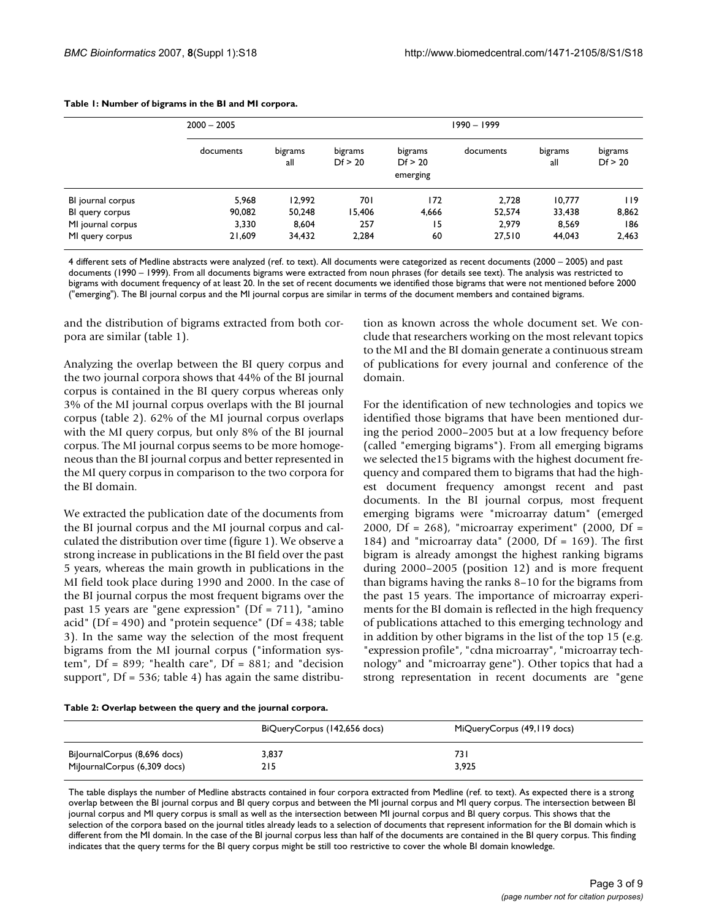|                   | $2000 - 2005$ |                |                    |                                | 1990 - 1999 |                |                    |
|-------------------|---------------|----------------|--------------------|--------------------------------|-------------|----------------|--------------------|
|                   | documents     | bigrams<br>all | bigrams<br>Df > 20 | bigrams<br>Df > 20<br>emerging | documents   | bigrams<br>all | bigrams<br>Df > 20 |
| BI journal corpus | 5.968         | 12.992         | 701                | 172                            | 2.728       | 10,777         | <b>119</b>         |
| BI query corpus   | 90,082        | 50,248         | 15,406             | 4,666                          | 52,574      | 33,438         | 8,862              |
| MI journal corpus | 3,330         | 8,604          | 257                | 15                             | 2.979       | 8,569          | 186                |
| MI query corpus   | 21,609        | 34,432         | 2,284              | 60                             | 27,510      | 44,043         | 2,463              |

**Table 1: Number of bigrams in the BI and MI corpora.**

4 different sets of Medline abstracts were analyzed (ref. to text). All documents were categorized as recent documents (2000 – 2005) and past documents (1990 – 1999). From all documents bigrams were extracted from noun phrases (for details see text). The analysis was restricted to bigrams with document frequency of at least 20. In the set of recent documents we identified those bigrams that were not mentioned before 2000 ("emerging"). The BI journal corpus and the MI journal corpus are similar in terms of the document members and contained bigrams.

and the distribution of bigrams extracted from both corpora are similar (table 1).

Analyzing the overlap between the BI query corpus and the two journal corpora shows that 44% of the BI journal corpus is contained in the BI query corpus whereas only 3% of the MI journal corpus overlaps with the BI journal corpus (table 2). 62% of the MI journal corpus overlaps with the MI query corpus, but only 8% of the BI journal corpus. The MI journal corpus seems to be more homogeneous than the BI journal corpus and better represented in the MI query corpus in comparison to the two corpora for the BI domain.

We extracted the publication date of the documents from the BI journal corpus and the MI journal corpus and calculated the distribution over time (figure 1). We observe a strong increase in publications in the BI field over the past 5 years, whereas the main growth in publications in the MI field took place during 1990 and 2000. In the case of the BI journal corpus the most frequent bigrams over the past 15 years are "gene expression" ( $Df = 711$ ), "amino acid" (Df = 490) and "protein sequence" (Df = 438; table 3). In the same way the selection of the most frequent bigrams from the MI journal corpus ("information system",  $Df = 899$ ; "health care",  $Df = 881$ ; and "decision support",  $Df = 536$ ; table 4) has again the same distribution as known across the whole document set. We conclude that researchers working on the most relevant topics to the MI and the BI domain generate a continuous stream of publications for every journal and conference of the domain.

For the identification of new technologies and topics we identified those bigrams that have been mentioned during the period 2000–2005 but at a low frequency before (called "emerging bigrams"). From all emerging bigrams we selected the15 bigrams with the highest document frequency and compared them to bigrams that had the highest document frequency amongst recent and past documents. In the BI journal corpus, most frequent emerging bigrams were "microarray datum" (emerged 2000, Df = 268), "microarray experiment" (2000, Df = 184) and "microarray data"  $(2000, DF = 169)$ . The first bigram is already amongst the highest ranking bigrams during 2000–2005 (position 12) and is more frequent than bigrams having the ranks 8–10 for the bigrams from the past 15 years. The importance of microarray experiments for the BI domain is reflected in the high frequency of publications attached to this emerging technology and in addition by other bigrams in the list of the top 15 (e.g. "expression profile", "cdna microarray", "microarray technology" and "microarray gene"). Other topics that had a strong representation in recent documents are "gene

#### **Table 2: Overlap between the query and the journal corpora.**

|                              | BiQueryCorpus (142,656 docs) | MiQueryCorpus (49,119 docs) |
|------------------------------|------------------------------|-----------------------------|
| BijournalCorpus (8,696 docs) | 3,837                        | 73 I                        |
| MilournalCorpus (6,309 docs) | 215                          | 3.925                       |

The table displays the number of Medline abstracts contained in four corpora extracted from Medline (ref. to text). As expected there is a strong overlap between the BI journal corpus and BI query corpus and between the MI journal corpus and MI query corpus. The intersection between BI journal corpus and MI query corpus is small as well as the intersection between MI journal corpus and BI query corpus. This shows that the selection of the corpora based on the journal titles already leads to a selection of documents that represent information for the BI domain which is different from the MI domain. In the case of the BI journal corpus less than half of the documents are contained in the BI query corpus. This finding indicates that the query terms for the BI query corpus might be still too restrictive to cover the whole BI domain knowledge.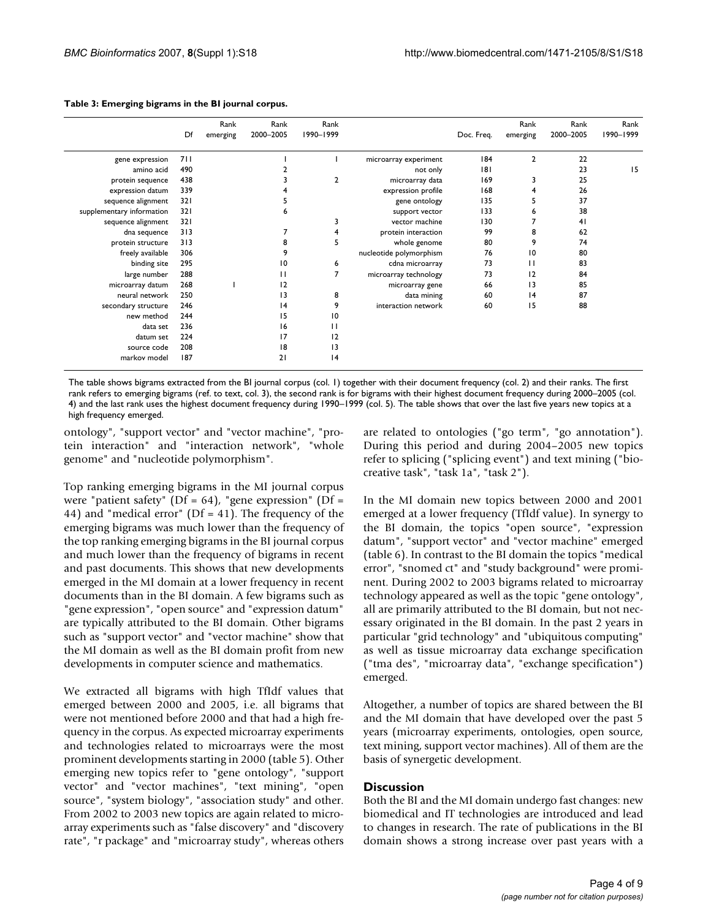|                           | Df  | Rank<br>emerging | Rank<br>2000-2005 | Rank<br>1990-1999 |                         | Doc. Freq. | Rank<br>emerging | Rank<br>2000-2005 | Rank<br>1990-1999 |
|---------------------------|-----|------------------|-------------------|-------------------|-------------------------|------------|------------------|-------------------|-------------------|
| gene expression           | 711 |                  |                   |                   | microarray experiment   | 184        | $\overline{2}$   | 22                |                   |
| amino acid                | 490 |                  |                   |                   | not only                | 8          |                  | 23                | 15                |
| protein sequence          | 438 |                  |                   | $\overline{2}$    | microarray data         | 169        | 3                | 25                |                   |
| expression datum          | 339 |                  |                   |                   | expression profile      | 168        | 4                | 26                |                   |
| sequence alignment        | 321 |                  |                   |                   | gene ontology           | 135        |                  | 37                |                   |
| supplementary information | 321 |                  | 6                 |                   | support vector          | 133        | 6                | 38                |                   |
| sequence alignment        | 321 |                  |                   |                   | vector machine          | 130        |                  | 41                |                   |
| dna sequence              | 313 |                  |                   |                   | protein interaction     | 99         | 8                | 62                |                   |
| protein structure         | 313 |                  | 8                 | 5                 | whole genome            | 80         | 9                | 74                |                   |
| freely available          | 306 |                  | 9                 |                   | nucleotide polymorphism | 76         | $\overline{10}$  | 80                |                   |
| binding site              | 295 |                  | 10                | 6                 | cdna microarray         | 73         | $\mathbf{H}$     | 83                |                   |
| large number              | 288 |                  | п                 |                   | microarray technology   | 73         | 12               | 84                |                   |
| microarray datum          | 268 |                  | 12                |                   | microarray gene         | 66         | 13               | 85                |                   |
| neural network            | 250 |                  | 3                 | 8                 | data mining             | 60         | 4                | 87                |                   |
| secondary structure       | 246 |                  | 4                 | 9                 | interaction network     | 60         | 15               | 88                |                   |
| new method                | 244 |                  | 15                | 10                |                         |            |                  |                   |                   |
| data set                  | 236 |                  | 16                | П                 |                         |            |                  |                   |                   |
| datum set                 | 224 |                  | 17                | 12                |                         |            |                  |                   |                   |
| source code               | 208 |                  | 18                | 13                |                         |            |                  |                   |                   |
| markov model              | 187 |                  | 21                | 4                 |                         |            |                  |                   |                   |

**Table 3: Emerging bigrams in the BI journal corpus.**

The table shows bigrams extracted from the BI journal corpus (col. 1) together with their document frequency (col. 2) and their ranks. The first rank refers to emerging bigrams (ref. to text, col. 3), the second rank is for bigrams with their highest document frequency during 2000–2005 (col. 4) and the last rank uses the highest document frequency during 1990–1999 (col. 5). The table shows that over the last five years new topics at a high frequency emerged.

ontology", "support vector" and "vector machine", "protein interaction" and "interaction network", "whole genome" and "nucleotide polymorphism".

Top ranking emerging bigrams in the MI journal corpus were "patient safety" ( $Df = 64$ ), "gene expression" ( $Df =$ 44) and "medical error" ( $Df = 41$ ). The frequency of the emerging bigrams was much lower than the frequency of the top ranking emerging bigrams in the BI journal corpus and much lower than the frequency of bigrams in recent and past documents. This shows that new developments emerged in the MI domain at a lower frequency in recent documents than in the BI domain. A few bigrams such as "gene expression", "open source" and "expression datum" are typically attributed to the BI domain. Other bigrams such as "support vector" and "vector machine" show that the MI domain as well as the BI domain profit from new developments in computer science and mathematics.

We extracted all bigrams with high TfIdf values that emerged between 2000 and 2005, i.e. all bigrams that were not mentioned before 2000 and that had a high frequency in the corpus. As expected microarray experiments and technologies related to microarrays were the most prominent developments starting in 2000 (table 5). Other emerging new topics refer to "gene ontology", "support vector" and "vector machines", "text mining", "open source", "system biology", "association study" and other. From 2002 to 2003 new topics are again related to microarray experiments such as "false discovery" and "discovery rate", "r package" and "microarray study", whereas others

are related to ontologies ("go term", "go annotation"). During this period and during 2004–2005 new topics refer to splicing ("splicing event") and text mining ("biocreative task", "task 1a", "task 2").

In the MI domain new topics between 2000 and 2001 emerged at a lower frequency (TfIdf value). In synergy to the BI domain, the topics "open source", "expression datum", "support vector" and "vector machine" emerged (table 6). In contrast to the BI domain the topics "medical error", "snomed ct" and "study background" were prominent. During 2002 to 2003 bigrams related to microarray technology appeared as well as the topic "gene ontology", all are primarily attributed to the BI domain, but not necessary originated in the BI domain. In the past 2 years in particular "grid technology" and "ubiquitous computing" as well as tissue microarray data exchange specification ("tma des", "microarray data", "exchange specification") emerged.

Altogether, a number of topics are shared between the BI and the MI domain that have developed over the past 5 years (microarray experiments, ontologies, open source, text mining, support vector machines). All of them are the basis of synergetic development.

## **Discussion**

Both the BI and the MI domain undergo fast changes: new biomedical and IT technologies are introduced and lead to changes in research. The rate of publications in the BI domain shows a strong increase over past years with a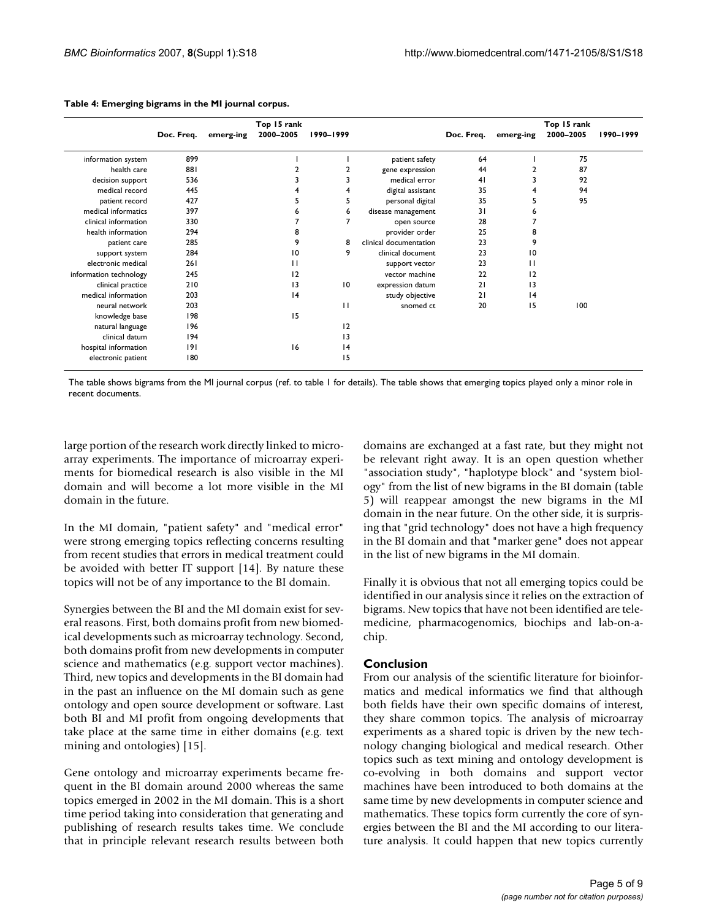|                        |            |           | Top 15 rank     |           |                        |            |           | Top 15 rank |           |
|------------------------|------------|-----------|-----------------|-----------|------------------------|------------|-----------|-------------|-----------|
|                        | Doc. Freq. | emerg-ing | 2000-2005       | 1990-1999 |                        | Doc. Freq. | emerg-ing | 2000-2005   | 1990-1999 |
| information system     | 899        |           |                 |           | patient safety         | 64         |           | 75          |           |
| health care            | 881        |           |                 |           | gene expression        | 44         |           | 87          |           |
| decision support       | 536        |           |                 |           | medical error          | 41         |           | 92          |           |
| medical record         | 445        |           |                 |           | digital assistant      | 35         |           | 94          |           |
| patient record         | 427        |           | 5               | 5         | personal digital       | 35         |           | 95          |           |
| medical informatics    | 397        |           | 6               | 6         | disease management     | 31         | ь         |             |           |
| clinical information   | 330        |           |                 | 7         | open source            | 28         |           |             |           |
| health information     | 294        |           | 8               |           | provider order         | 25         | 8         |             |           |
| patient care           | 285        |           | 9               | 8         | clinical documentation | 23         | 9         |             |           |
| support system         | 284        |           | $\overline{10}$ | 9         | clinical document      | 23         | 10        |             |           |
| electronic medical     | 261        |           | п               |           | support vector         | 23         | П         |             |           |
| information technology | 245        |           | 12              |           | vector machine         | 22         | 12        |             |           |
| clinical practice      | 210        |           | $\overline{13}$ | 10        | expression datum       | 21         | 13        |             |           |
| medical information    | 203        |           | 4               |           | study objective        | 21         | 4         |             |           |
| neural network         | 203        |           |                 | П         | snomed ct              | 20         | 15        | 100         |           |
| knowledge base         | 198        |           | 15              |           |                        |            |           |             |           |
| natural language       | 196        |           |                 | 12        |                        |            |           |             |           |
| clinical datum         | 194        |           |                 | 13        |                        |            |           |             |           |
| hospital information   | 9          |           | 16              | 4         |                        |            |           |             |           |
| electronic patient     | 180        |           |                 | 15        |                        |            |           |             |           |

#### **Table 4: Emerging bigrams in the MI journal corpus.**

The table shows bigrams from the MI journal corpus (ref. to table 1 for details). The table shows that emerging topics played only a minor role in recent documents.

large portion of the research work directly linked to microarray experiments. The importance of microarray experiments for biomedical research is also visible in the MI domain and will become a lot more visible in the MI domain in the future.

In the MI domain, "patient safety" and "medical error" were strong emerging topics reflecting concerns resulting from recent studies that errors in medical treatment could be avoided with better IT support [14]. By nature these topics will not be of any importance to the BI domain.

Synergies between the BI and the MI domain exist for several reasons. First, both domains profit from new biomedical developments such as microarray technology. Second, both domains profit from new developments in computer science and mathematics (e.g. support vector machines). Third, new topics and developments in the BI domain had in the past an influence on the MI domain such as gene ontology and open source development or software. Last both BI and MI profit from ongoing developments that take place at the same time in either domains (e.g. text mining and ontologies) [15].

Gene ontology and microarray experiments became frequent in the BI domain around 2000 whereas the same topics emerged in 2002 in the MI domain. This is a short time period taking into consideration that generating and publishing of research results takes time. We conclude that in principle relevant research results between both domains are exchanged at a fast rate, but they might not be relevant right away. It is an open question whether "association study", "haplotype block" and "system biology" from the list of new bigrams in the BI domain (table 5) will reappear amongst the new bigrams in the MI domain in the near future. On the other side, it is surprising that "grid technology" does not have a high frequency in the BI domain and that "marker gene" does not appear in the list of new bigrams in the MI domain.

Finally it is obvious that not all emerging topics could be identified in our analysis since it relies on the extraction of bigrams. New topics that have not been identified are telemedicine, pharmacogenomics, biochips and lab-on-achip.

#### **Conclusion**

From our analysis of the scientific literature for bioinformatics and medical informatics we find that although both fields have their own specific domains of interest, they share common topics. The analysis of microarray experiments as a shared topic is driven by the new technology changing biological and medical research. Other topics such as text mining and ontology development is co-evolving in both domains and support vector machines have been introduced to both domains at the same time by new developments in computer science and mathematics. These topics form currently the core of synergies between the BI and the MI according to our literature analysis. It could happen that new topics currently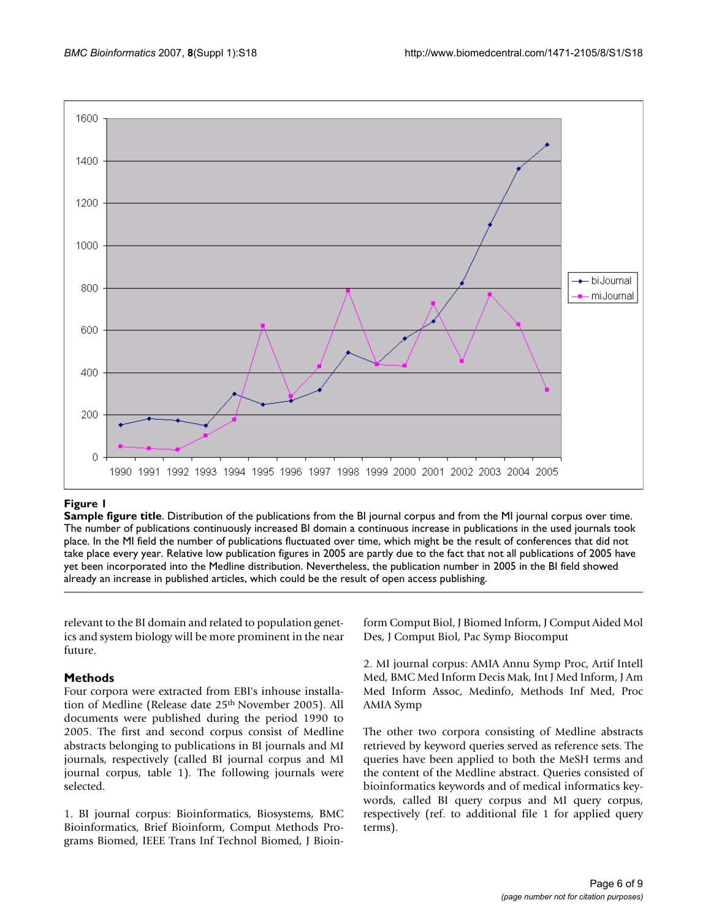

#### **Figure 1**

**Sample figure title**. Distribution of the publications from the BI journal corpus and from the MI journal corpus over time. The number of publications continuously increased BI domain a continuous increase in publications in the used journals took place. In the MI field the number of publications fluctuated over time, which might be the result of conferences that did not take place every year. Relative low publication figures in 2005 are partly due to the fact that not all publications of 2005 have yet been incorporated into the Medline distribution. Nevertheless, the publication number in 2005 in the BI field showed already an increase in published articles, which could be the result of open access publishing.

relevant to the BI domain and related to population genetics and system biology will be more prominent in the near future.

## **Methods**

Four corpora were extracted from EBI's inhouse installation of Medline (Release date 25th November 2005). All documents were published during the period 1990 to 2005. The first and second corpus consist of Medline abstracts belonging to publications in BI journals and MI journals, respectively (called BI journal corpus and MI journal corpus, table 1). The following journals were selected.

1. BI journal corpus: Bioinformatics, Biosystems, BMC Bioinformatics, Brief Bioinform, Comput Methods Programs Biomed, IEEE Trans Inf Technol Biomed, J Bioinform Comput Biol, J Biomed Inform, J Comput Aided Mol Des, J Comput Biol, Pac Symp Biocomput

2. MI journal corpus: AMIA Annu Symp Proc, Artif Intell Med, BMC Med Inform Decis Mak, Int J Med Inform, J Am Med Inform Assoc, Medinfo, Methods Inf Med, Proc AMIA Symp

The other two corpora consisting of Medline abstracts retrieved by keyword queries served as reference sets. The queries have been applied to both the MeSH terms and the content of the Medline abstract. Queries consisted of bioinformatics keywords and of medical informatics keywords, called BI query corpus and MI query corpus, respectively (ref. to additional file 1 for applied query terms).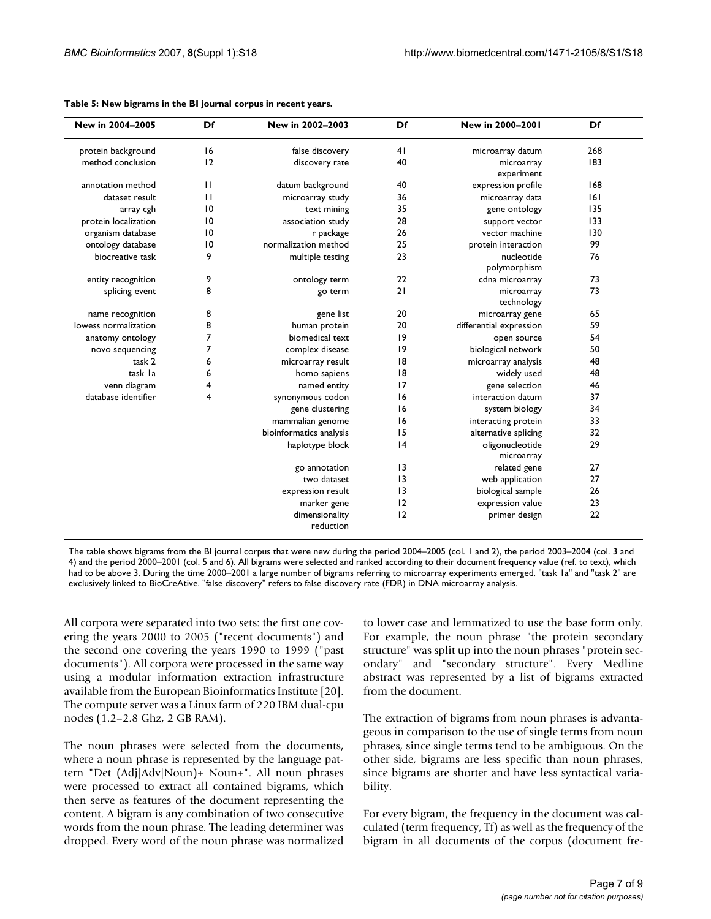| New in 2004-2005     | Df              | New in 2002-2003            | Df | New in 2000-2001              | Df  |
|----------------------|-----------------|-----------------------------|----|-------------------------------|-----|
| protein background   | 16              | false discovery             | 41 | microarray datum              | 268 |
| method conclusion    | 12              | discovery rate              | 40 | microarray<br>experiment      | 183 |
| annotation method    | $\mathbf{H}$    | datum background            | 40 | expression profile            | 168 |
| dataset result       | $\mathbf{H}$    | microarray study            | 36 | microarray data               | 6   |
| array cgh            | 10              | text mining                 | 35 | gene ontology                 | 135 |
| protein localization | 10              | association study           | 28 | support vector                | 133 |
| organism database    | $\overline{10}$ | r package                   | 26 | vector machine                | 130 |
| ontology database    | 10              | normalization method        | 25 | protein interaction           | 99  |
| biocreative task     | 9               | multiple testing            | 23 | nucleotide<br>polymorphism    | 76  |
| entity recognition   | 9               | ontology term               | 22 | cdna microarray               | 73  |
| splicing event       | 8               | go term                     | 21 | microarray<br>technology      | 73  |
| name recognition     | 8               | gene list                   | 20 | microarray gene               | 65  |
| lowess normalization | 8               | human protein               | 20 | differential expression       | 59  |
| anatomy ontology     | 7               | biomedical text             | 9  | open source                   | 54  |
| novo sequencing      | 7               | complex disease             | 9  | biological network            | 50  |
| task 2               | 6               | microarray result           | 18 | microarray analysis           | 48  |
| task la              | 6               | homo sapiens                | 8  | widely used                   | 48  |
| venn diagram         | 4               | named entity                | 17 | gene selection                | 46  |
| database identifier  | 4               | synonymous codon            | 16 | interaction datum             | 37  |
|                      |                 | gene clustering             | 16 | system biology                | 34  |
|                      |                 | mammalian genome            | 16 | interacting protein           | 33  |
|                      |                 | bioinformatics analysis     | 15 | alternative splicing          | 32  |
|                      |                 | haplotype block             | 4  | oligonucleotide<br>microarray | 29  |
|                      |                 | go annotation               | 13 | related gene                  | 27  |
|                      |                 | two dataset                 | 13 | web application               | 27  |
|                      |                 | expression result           | 3  | biological sample             | 26  |
|                      |                 | marker gene                 | 12 | expression value              | 23  |
|                      |                 | dimensionality<br>reduction | 12 | primer design                 | 22  |

#### **Table 5: New bigrams in the BI journal corpus in recent years.**

The table shows bigrams from the BI journal corpus that were new during the period 2004–2005 (col. 1 and 2), the period 2003–2004 (col. 3 and 4) and the period 2000–2001 (col. 5 and 6). All bigrams were selected and ranked according to their document frequency value (ref. to text), which had to be above 3. During the time 2000–2001 a large number of bigrams referring to microarray experiments emerged. "task 1a" and "task 2" are exclusively linked to BioCreAtive. "false discovery" refers to false discovery rate (FDR) in DNA microarray analysis.

All corpora were separated into two sets: the first one covering the years 2000 to 2005 ("recent documents") and the second one covering the years 1990 to 1999 ("past documents"). All corpora were processed in the same way using a modular information extraction infrastructure available from the European Bioinformatics Institute [20]. The compute server was a Linux farm of 220 IBM dual-cpu nodes (1.2–2.8 Ghz, 2 GB RAM).

The noun phrases were selected from the documents, where a noun phrase is represented by the language pattern "Det (Adj|Adv|Noun)+ Noun+". All noun phrases were processed to extract all contained bigrams, which then serve as features of the document representing the content. A bigram is any combination of two consecutive words from the noun phrase. The leading determiner was dropped. Every word of the noun phrase was normalized

to lower case and lemmatized to use the base form only. For example, the noun phrase "the protein secondary structure" was split up into the noun phrases "protein secondary" and "secondary structure". Every Medline abstract was represented by a list of bigrams extracted from the document.

The extraction of bigrams from noun phrases is advantageous in comparison to the use of single terms from noun phrases, since single terms tend to be ambiguous. On the other side, bigrams are less specific than noun phrases, since bigrams are shorter and have less syntactical variability.

For every bigram, the frequency in the document was calculated (term frequency, Tf) as well as the frequency of the bigram in all documents of the corpus (document fre-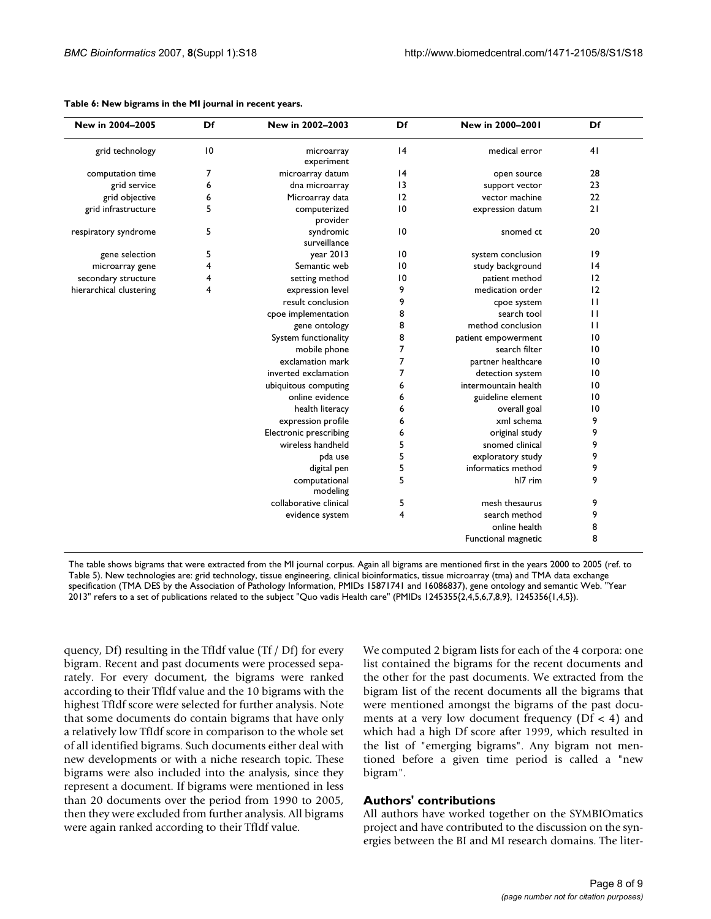| Df              | New in 2000-2001     | Df              | New in 2002-2003          | Df | New in 2004-2005        |
|-----------------|----------------------|-----------------|---------------------------|----|-------------------------|
| 41              | medical error        | 4               | microarray<br>experiment  | 10 | grid technology         |
| 28              | open source          | 4               | microarray datum          | 7  | computation time        |
| 23              | support vector       | 3               | dna microarray            | 6  | grid service            |
| 22              | vector machine       | 12              | Microarray data           | 6  | grid objective          |
| 21              | expression datum     | $\overline{10}$ | computerized<br>provider  | 5  | grid infrastructure     |
| 20              | snomed ct            | $\overline{10}$ | syndromic<br>surveillance | 5  | respiratory syndrome    |
| 9               | system conclusion    | $\overline{10}$ | year 2013                 | 5  | gene selection          |
| 4               | study background     | 10              | Semantic web              | 4  | microarray gene         |
| 12              | patient method       | 10              | setting method            | 4  | secondary structure     |
| 12              | medication order     | 9               | expression level          | 4  | hierarchical clustering |
| $\mathbf{H}$    | cpoe system          | 9               | result conclusion         |    |                         |
| $\mathbf{H}$    | search tool          | 8               | cpoe implementation       |    |                         |
| $\mathbf{H}$    | method conclusion    | 8               | gene ontology             |    |                         |
| $\overline{10}$ | patient empowerment  | 8               | System functionality      |    |                         |
| 10              | search filter        | 7               | mobile phone              |    |                         |
| $\overline{10}$ | partner healthcare   | $\overline{7}$  | exclamation mark          |    |                         |
| $\overline{10}$ | detection system     | 7               | inverted exclamation      |    |                         |
| 10              | intermountain health | 6               | ubiquitous computing      |    |                         |
| 10              | guideline element    | 6               | online evidence           |    |                         |
| 10              | overall goal         | 6               | health literacy           |    |                         |
| 9               | xml schema           | 6               | expression profile        |    |                         |
| 9               | original study       | 6               | Electronic prescribing    |    |                         |
| 9               | snomed clinical      | 5               | wireless handheld         |    |                         |
| 9               | exploratory study    | 5               | pda use                   |    |                         |
| 9               | informatics method   | 5               | digital pen               |    |                         |
| 9               | hl7 rim              | 5               | computational<br>modeling |    |                         |
| 9               | mesh thesaurus       | 5               | collaborative clinical    |    |                         |
| 9               | search method        | 4               | evidence system           |    |                         |
| 8               | online health        |                 |                           |    |                         |
| 8               | Functional magnetic  |                 |                           |    |                         |

#### **Table 6: New bigrams in the MI journal in recent years.**

The table shows bigrams that were extracted from the MI journal corpus. Again all bigrams are mentioned first in the years 2000 to 2005 (ref. to Table 5). New technologies are: grid technology, tissue engineering, clinical bioinformatics, tissue microarray (tma) and TMA data exchange specification (TMA DES by the Association of Pathology Information, PMIDs 15871741 and 16086837), gene ontology and semantic Web. "Year 2013" refers to a set of publications related to the subject "Quo vadis Health care" (PMIDs 1245355{2,4,5,6,7,8,9}, 1245356{1,4,5}).

quency, Df) resulting in the TfIdf value (Tf / Df) for every bigram. Recent and past documents were processed separately. For every document, the bigrams were ranked according to their TfIdf value and the 10 bigrams with the highest TfIdf score were selected for further analysis. Note that some documents do contain bigrams that have only a relatively low TfIdf score in comparison to the whole set of all identified bigrams. Such documents either deal with new developments or with a niche research topic. These bigrams were also included into the analysis, since they represent a document. If bigrams were mentioned in less than 20 documents over the period from 1990 to 2005, then they were excluded from further analysis. All bigrams were again ranked according to their TfIdf value.

We computed 2 bigram lists for each of the 4 corpora: one list contained the bigrams for the recent documents and the other for the past documents. We extracted from the bigram list of the recent documents all the bigrams that were mentioned amongst the bigrams of the past documents at a very low document frequency ( $Df < 4$ ) and which had a high Df score after 1999, which resulted in the list of "emerging bigrams". Any bigram not mentioned before a given time period is called a "new bigram".

## **Authors' contributions**

All authors have worked together on the SYMBIOmatics project and have contributed to the discussion on the synergies between the BI and MI research domains. The liter